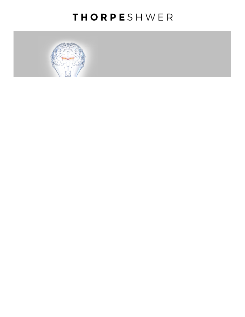# THORPESHWER